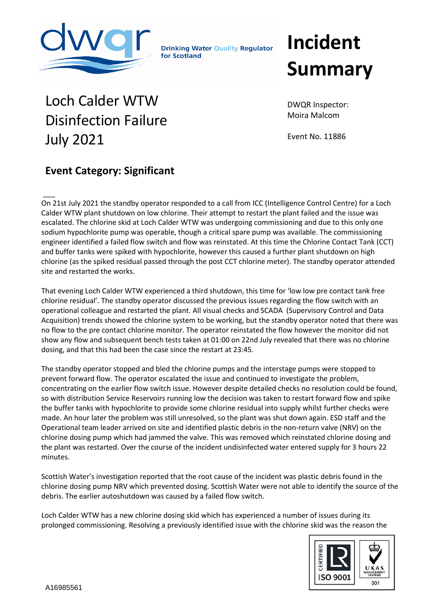

**Drinking Water Quality Regulator** for Scotland

## **Incident Summary**

## Loch Calder WTW Disinfection Failure July 2021

DWQR Inspector: Moira Malcom

Event No. 11886

## **Event Category: Significant**

 $\overline{\phantom{a}}$ On 21st July 2021 the standby operator responded to a call from ICC (Intelligence Control Centre) for a Loch Calder WTW plant shutdown on low chlorine. Their attempt to restart the plant failed and the issue was escalated. The chlorine skid at Loch Calder WTW was undergoing commissioning and due to this only one sodium hypochlorite pump was operable, though a critical spare pump was available. The commissioning engineer identified a failed flow switch and flow was reinstated. At this time the Chlorine Contact Tank (CCT) and buffer tanks were spiked with hypochlorite, however this caused a further plant shutdown on high chlorine (as the spiked residual passed through the post CCT chlorine meter). The standby operator attended site and restarted the works.

That evening Loch Calder WTW experienced a third shutdown, this time for 'low low pre contact tank free chlorine residual'. The standby operator discussed the previous issues regarding the flow switch with an operational colleague and restarted the plant. All visual checks and SCADA (Supervisory Control and Data Acquisition) trends showed the chlorine system to be working, but the standby operator noted that there was no flow to the pre contact chlorine monitor. The operator reinstated the flow however the monitor did not show any flow and subsequent bench tests taken at 01:00 on 22nd July revealed that there was no chlorine dosing, and that this had been the case since the restart at 23:45.

The standby operator stopped and bled the chlorine pumps and the interstage pumps were stopped to prevent forward flow. The operator escalated the issue and continued to investigate the problem, concentrating on the earlier flow switch issue. However despite detailed checks no resolution could be found, so with distribution Service Reservoirs running low the decision was taken to restart forward flow and spike the buffer tanks with hypochlorite to provide some chlorine residual into supply whilst further checks were made. An hour later the problem was still unresolved, so the plant was shut down again. ESD staff and the Operational team leader arrived on site and identified plastic debris in the non-return valve (NRV) on the chlorine dosing pump which had jammed the valve. This was removed which reinstated chlorine dosing and the plant was restarted. Over the course of the incident undisinfected water entered supply for 3 hours 22 minutes.

Scottish Water's investigation reported that the root cause of the incident was plastic debris found in the chlorine dosing pump NRV which prevented dosing. Scottish Water were not able to identify the source of the debris. The earlier autoshutdown was caused by a failed flow switch.

Loch Calder WTW has a new chlorine dosing skid which has experienced a number of issues during its prolonged commissioning. Resolving a previously identified issue with the chlorine skid was the reason the